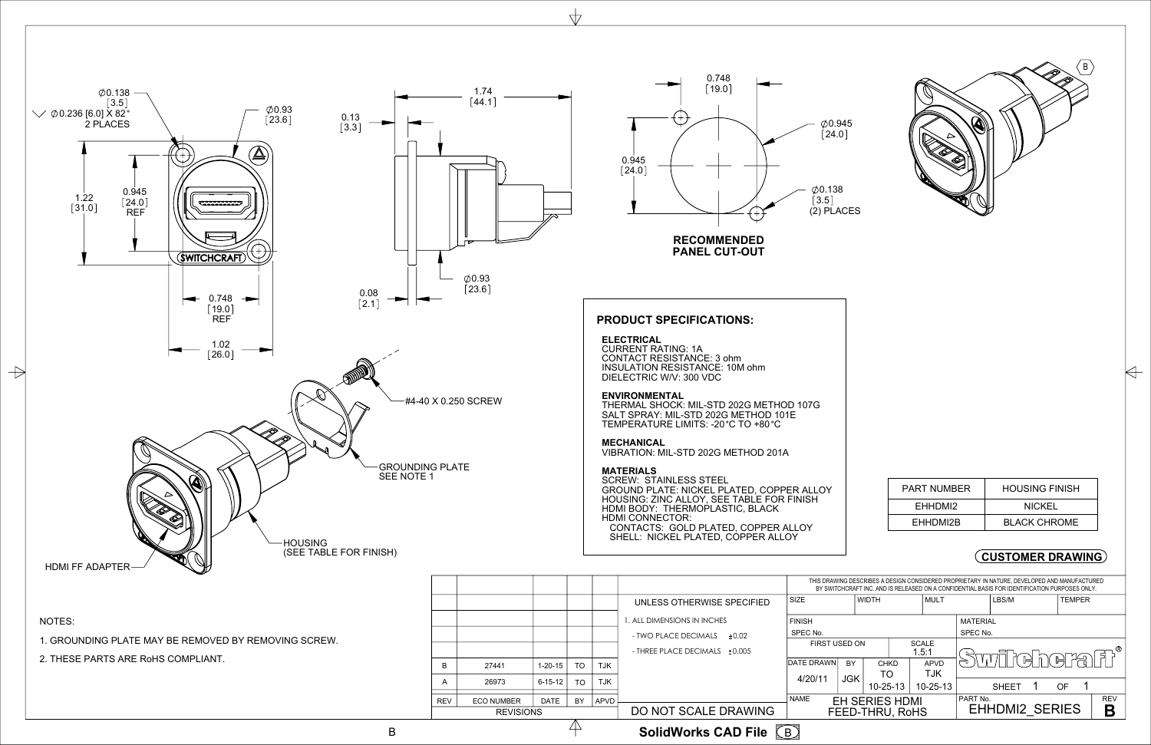

 THERMAL SHOCK: MIL-STD 202G METHOD 107G SALT SPRAY: MIL-STD 202G METHOD 101E TEMPERATURE LIMITS: -20 °C TO +80 °C

### **PRODUCT SPECIFICATIONS:**

#### **ELECTRICAL**

 $\frac{1}{\sqrt{2}}$ 

 CURRENT RATING: 1A CONTACT RESISTANCE: 3 ohm INSULATION RESISTANCE: 10M ohm DIELECTRIC W/V: 300 VDC

#### **ENVIRONMENTAL**

#### **MECHANICAL**

VIBRATION: MIL-STD 202G METHOD 201A

#### **MATERIALS**

 SCREW: STAINLESS STEEL GROUND PLATE: NICKEL PLATED, COPPER ALLOY HOUSING: ZINC ALLOY, SEE TABLE FOR FINISH HDMI BODY: THERMOPLASTIC, BLACK HDMI CONNECTOR: CONTACTS: GOLD PLATED, COPPER ALLOY SHELL: NICKEL PLATED, COPPER ALLOY



| THIS DRAWING DESCRIBES A DESIGN CONSIDERED PROPRIETARY IN NATURE. DEVELOPED AND MANUFACTURED<br>BY SWITCHCRAFT INC. AND IS RELEASED ON A CONFIDENTIAL BASIS FOR IDENTIFICATION PURPOSES ONLY. |                                          |                       |                                            |                       |       |                  |     |        |  |  |  |  |
|-----------------------------------------------------------------------------------------------------------------------------------------------------------------------------------------------|------------------------------------------|-----------------------|--------------------------------------------|-----------------------|-------|------------------|-----|--------|--|--|--|--|
| SIZE                                                                                                                                                                                          | <b>WIDTH</b>                             |                       |                                            | <b>MULT</b>           | LBS/M |                  |     | TEMPER |  |  |  |  |
| <b>FINISH</b>                                                                                                                                                                                 |                                          |                       | <b>MATERIAL</b>                            |                       |       |                  |     |        |  |  |  |  |
| SPEC No.                                                                                                                                                                                      |                                          |                       | SPEC No.                                   |                       |       |                  |     |        |  |  |  |  |
| <b>FIRST USED ON</b>                                                                                                                                                                          |                                          | <b>SCALE</b><br>1.5:1 |                                            | ®                     |       |                  |     |        |  |  |  |  |
| <b>DATE DRAWN</b>                                                                                                                                                                             | <b>BY</b>                                | <b>CHKD</b>           |                                            | <b>APVD</b>           |       | <u> 1대 빈 버 내</u> |     |        |  |  |  |  |
| 4/20/11                                                                                                                                                                                       | <b>JGK</b>                               | TO.                   |                                            | <b>TJK</b>            |       |                  |     |        |  |  |  |  |
|                                                                                                                                                                                               |                                          |                       | $10 - 25 - 13$<br>10-25-13<br><b>SHEET</b> |                       |       |                  |     |        |  |  |  |  |
| <b>NAME</b>                                                                                                                                                                                   | <b>EH SERIES HDMI</b><br>FEED-THRU, RoHS |                       | PART No.                                   | <b>EHHDMI2 SERIES</b> |       |                  | REV |        |  |  |  |  |
|                                                                                                                                                                                               |                                          |                       |                                            |                       |       |                  |     |        |  |  |  |  |

**PANEL CUT-OUT**

NOTES:

1. GROUNDING PLATE MAY BE REMOVED BY REMOVING SCREW.

2. THESE PARTS ARE RoHS COMPLIANT.

| PART NUMBER | <b>HOUSING FINISH</b> |  |  |  |  |  |  |
|-------------|-----------------------|--|--|--|--|--|--|
| EHHDMI2     | <b>NICKEL</b>         |  |  |  |  |  |  |
| EHHDMI2B    | BLACK CHROME          |  |  |  |  |  |  |

A



|                  | SolidWorks CAD File $\sqrt{B}$ |                   |               |           |            |                               |                      |                       |                       |                                                                                                                                                                                               |                       |               |  |               |            |   |
|------------------|--------------------------------|-------------------|---------------|-----------|------------|-------------------------------|----------------------|-----------------------|-----------------------|-----------------------------------------------------------------------------------------------------------------------------------------------------------------------------------------------|-----------------------|---------------|--|---------------|------------|---|
| <b>REVISIONS</b> |                                |                   |               |           |            | DO NOT SCALE DRAWING          | FEED-THRU, RoHS      |                       |                       |                                                                                                                                                                                               | <b>EHHDMI2 SERIES</b> |               |  |               |            | B |
|                  | <b>REV</b>                     | <b>ECO NUMBER</b> | DATE          | BY        | APVD       |                               | <b>NAME</b>          | <b>EH SERIES HDMI</b> |                       |                                                                                                                                                                                               | PART No.              |               |  |               | <b>REV</b> |   |
|                  | A                              | 26973             | $6 - 15 - 12$ | TO        | <b>TJK</b> |                               | 4/20/11              |                       | $10 - 25 - 13$        | $10 - 25 - 13$                                                                                                                                                                                |                       | <b>SHEET</b>  |  | OF.           |            |   |
|                  |                                |                   |               |           |            |                               |                      | <b>JGK</b>            | TO                    | <b>TJK</b>                                                                                                                                                                                    |                       |               |  |               |            |   |
|                  | B                              | 27441             | $1 - 20 - 15$ | <b>TO</b> | <b>TJK</b> |                               | DATE DRAWN           | <b>BY</b>             | CHKD                  | <b>APVD</b>                                                                                                                                                                                   |                       | Swillehers fr |  |               |            |   |
|                  |                                |                   |               |           |            | - THREE PLACE DECIMALS +0.005 | <b>FIRST USED ON</b> |                       | <b>SCALE</b><br>1.5:1 |                                                                                                                                                                                               |                       |               |  |               |            |   |
|                  |                                |                   |               |           |            | - TWO PLACE DECIMALS<br>±0.02 | SPEC No.             |                       |                       |                                                                                                                                                                                               | SPEC No.              |               |  |               |            |   |
|                  |                                |                   |               |           |            | 1. ALL DIMENSIONS IN INCHES   | <b>FINISH</b>        |                       |                       |                                                                                                                                                                                               | <b>MATERIAL</b>       |               |  |               |            |   |
|                  |                                |                   |               |           |            | UNLESS OTHERWISE SPECIFIED    | <b>SIZE</b>          |                       | <b>WIDTH</b>          | l MULT                                                                                                                                                                                        |                       |               |  | <b>TEMPER</b> |            |   |
|                  |                                |                   |               |           |            |                               |                      |                       |                       | THIS DRAWING DESCRIBES A DESIGN CONSIDERED PROPRIETARY IN NATURE, DEVELOPED AND MANUFACTURED<br>BY SWITCHCRAFT INC. AND IS RELEASED ON A CONFIDENTIAL BASIS FOR IDENTIFICATION PURPOSES ONLY. |                       |               |  |               |            |   |

B **SolidWorks CAD File**

## **CUSTOMER DRAWING**

 $\langle B \rangle$ 

 $\forall$